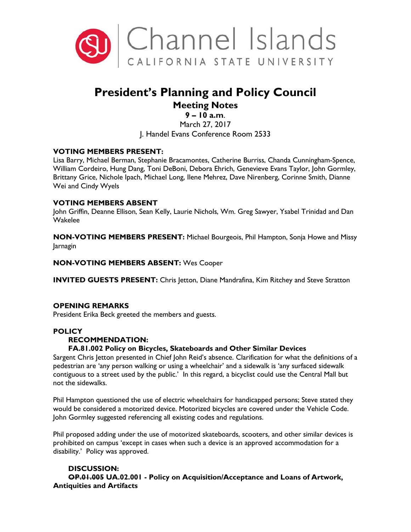

# **President's Planning and Policy Council**

# **Meeting Notes**

**9 – 10 a.m**.

March 27, 2017 J. Handel Evans Conference Room 2533

### **VOTING MEMBERS PRESENT:**

Lisa Barry, Michael Berman, Stephanie Bracamontes, Catherine Burriss, Chanda Cunningham-Spence, William Cordeiro, Hung Dang, Toni DeBoni, Debora Ehrich, Genevieve Evans Taylor, John Gormley, Brittany Grice, Nichole Ipach, Michael Long, Ilene Mehrez, Dave Nirenberg, Corinne Smith, Dianne Wei and Cindy Wyels

#### **VOTING MEMBERS ABSENT**

John Griffin, Deanne Ellison, Sean Kelly, Laurie Nichols, Wm. Greg Sawyer, Ysabel Trinidad and Dan Wakelee

**NON-VOTING MEMBERS PRESENT:** Michael Bourgeois, Phil Hampton, Sonja Howe and Missy Jarnagin

**NON-VOTING MEMBERS ABSENT:** Wes Cooper

**INVITED GUESTS PRESENT:** Chris Jetton, Diane Mandrafina, Kim Ritchey and Steve Stratton

#### **OPENING REMARKS**

President Erika Beck greeted the members and guests.

#### **POLICY**

#### **RECOMMENDATION:**

#### **FA.81.002 Policy on Bicycles, Skateboards and Other Similar Devices**

Sargent Chris Jetton presented in Chief John Reid's absence. Clarification for what the definitions of a pedestrian are 'any person walking or using a wheelchair' and a sidewalk is 'any surfaced sidewalk contiguous to a street used by the public.' In this regard, a bicyclist could use the Central Mall but not the sidewalks.

Phil Hampton questioned the use of electric wheelchairs for handicapped persons; Steve stated they would be considered a motorized device. Motorized bicycles are covered under the Vehicle Code. John Gormley suggested referencing all existing codes and regulations.

Phil proposed adding under the use of motorized skateboards, scooters, and other similar devices is prohibited on campus 'except in cases when such a device is an approved accommodation for a disability.' Policy was approved.

#### **DISCUSSION: OP.01.005 UA.02.001 - Policy on Acquisition/Acceptance and Loans of Artwork, Antiquities and Artifacts**